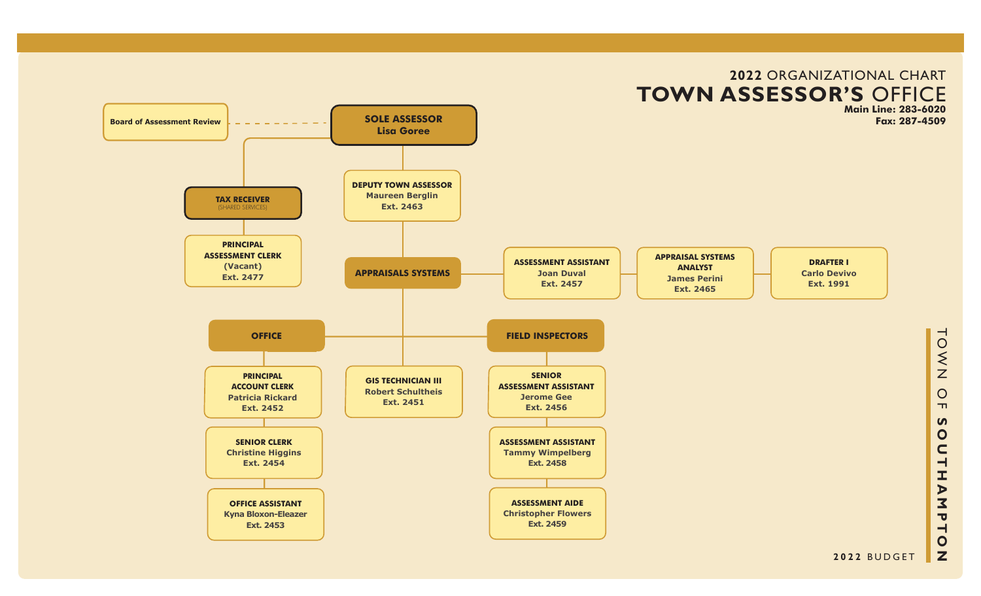

# **2022** ORGANIZATIONAL CHART

**SOUTHAMPTON**  $\bullet$  $\mathbf{z}$ **2022** BUDGET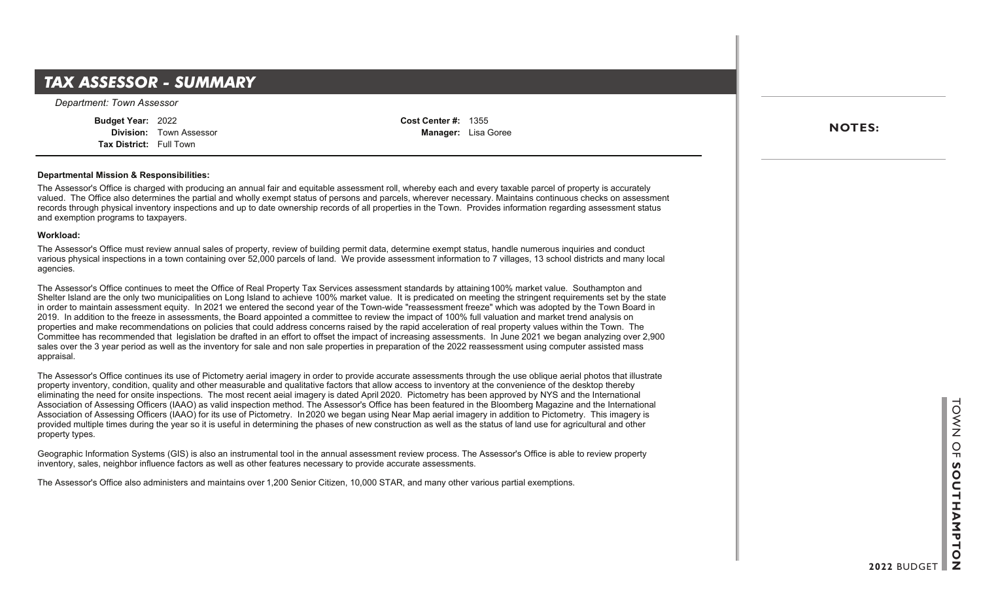### **Department Summary**  *TAX ASSESSOR - SUMMARY*

*Department: Town Assessor*

**Budget Year:** 2022 **Division:** Town Assessor **Tax District:** Full Town

**Cost Center #:** 1355 **Manager:** Lisa Goree

#### **Departmental Mission & Responsibilities:**

The Assessor's Office is charged with producing an annual fair and equitable assessment roll, whereby each and every taxable parcel of property is accurately valued. The Office also determines the partial and wholly exempt status of persons and parcels, wherever necessary. Maintains continuous checks on assessment records through physical inventory inspections and up to date ownership records of all properties in the Town. Provides information regarding assessment status and exemption programs to taxpayers.

#### **Workload:**

The Assessor's Office must review annual sales of property, review of building permit data, determine exempt status, handle numerous inquiries and conduct various physical inspections in a town containing over 52,000 parcels of land. We provide assessment information to 7 villages, 13 school districts and many local agencies.

The Assessor's Office continues to meet the Office of Real Property Tax Services assessment standards by attaining 100% market value. Southampton and Shelter Island are the only two municipalities on Long Island to achieve 100% market value. It is predicated on meeting the stringent requirements set by the state in order to maintain assessment equity. In 2021 we entered the second year of the Town-wide "reassessment freeze" which was adopted by the Town Board in 2019. In addition to the freeze in assessments, the Board appointed a committee to review the impact of 100% full valuation and market trend analysis on properties and make recommendations on policies that could address concerns raised by the rapid acceleration of real property values within the Town. The Committee has recommended that legislation be drafted in an effort to offset the impact of increasing assessments. In June 2021 we began analyzing over 2,900 sales over the 3 year period as well as the inventory for sale and non sale properties in preparation of the 2022 reassessment using computer assisted mass appraisal.

The Assessor's Office continues its use of Pictometry aerial imagery in order to provide accurate assessments through the use oblique aerial photos that illustrate property inventory, condition, quality and other measurable and qualitative factors that allow access to inventory at the convenience of the desktop thereby eliminating the need for onsite inspections. The most recent aeial imagery is dated April 2020. Pictometry has been approved by NYS and the International Association of Assessing Officers (IAAO) as valid inspection method. The Assessor's Office has been featured in the Bloomberg Magazine and the International Association of Assessing Officers (IAAO) for its use of Pictometry. In 2020 we began using Near Map aerial imagery in addition to Pictometry. This imagery is provided multiple times during the year so it is useful in determining the phases of new construction as well as the status of land use for agricultural and other property types.

Geographic Information Systems (GIS) is also an instrumental tool in the annual assessment review process. The Assessor's Office is able to review property inventory, sales, neighbor influence factors as well as other features necessary to provide accurate assessments.

The Assessor's Office also administers and maintains over 1,200 Senior Citizen, 10,000 STAR, and many other various partial exemptions.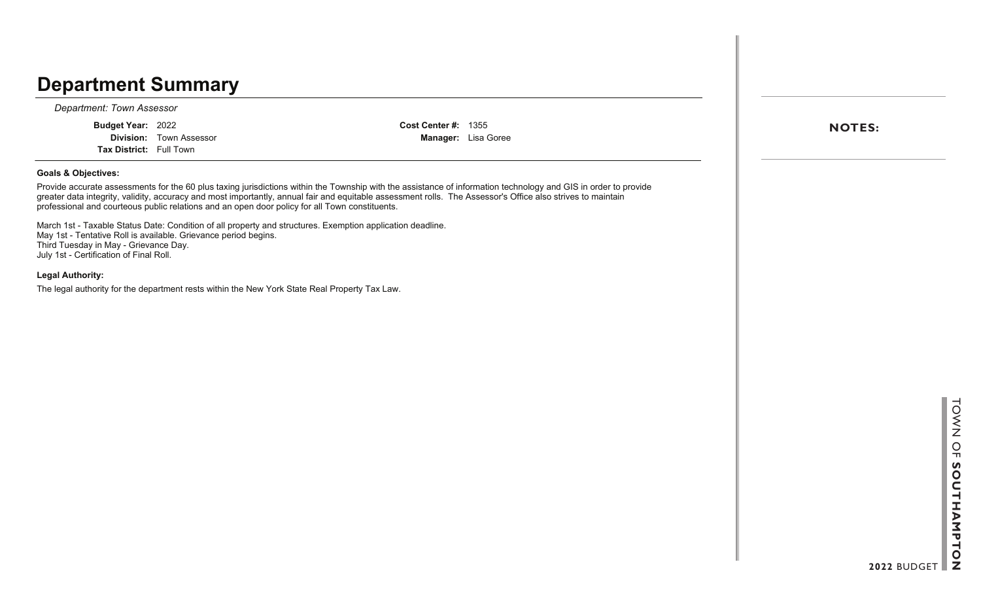### **Department Summary**

*Department: Town Assessor*

**Budget Year:** 2022

**Division:** Town Assessor **Tax District:** Full Town

**Cost Center #:** 1355 **Manager:** Lisa Goree

#### **Goals & Objectives:**

Provide accurate assessments for the 60 plus taxing jurisdictions within the Township with the assistance of information technology and GIS in order to provide greater data integrity, validity, accuracy and most importantly, annual fair and equitable assessment rolls. The Assessor's Office also strives to maintain professional and courteous public relations and an open door policy for all Town constituents.

March 1st - Taxable Status Date: Condition of all property and structures. Exemption application deadline. May 1st - Tentative Roll is available. Grievance period begins. Third Tuesday in May - Grievance Day. July 1st - Certification of Final Roll.

#### **Legal Authority:**

The legal authority for the department rests within the New York State Real Property Tax Law.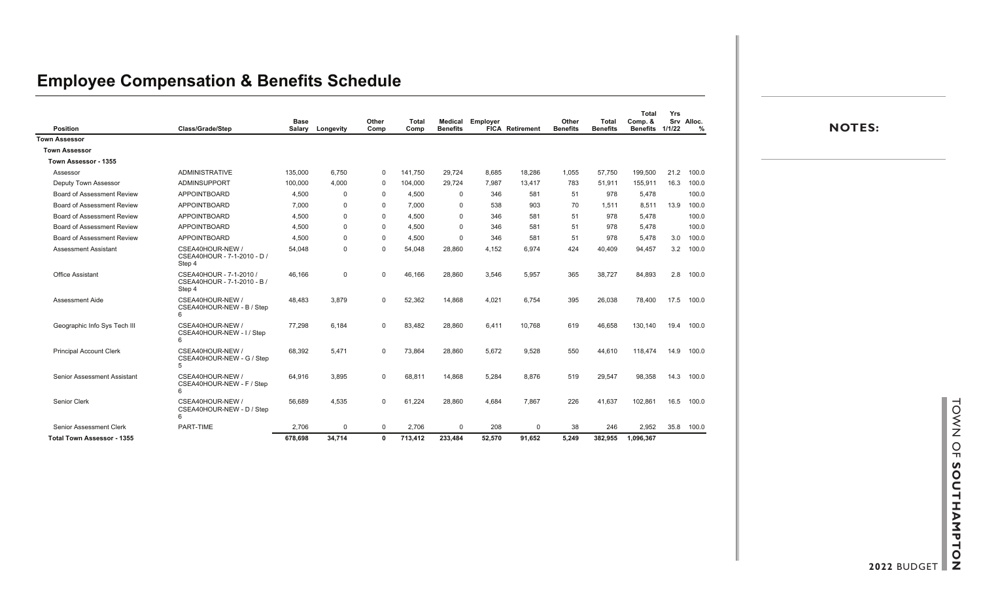### **Employee Compensation & Benefits Schedule**

| <b>Position</b>                    | <b>Class/Grade/Step</b>                                          | <b>Base</b> | Salary Longevity | Other<br>Comp | <b>Total</b><br>Comp | Medical<br><b>Benefits</b> | Employer | <b>FICA Retirement</b> | Other<br><b>Benefits</b> | Total<br><b>Benefits</b> | <b>Total</b><br>Comp. &<br><b>Benefits</b> | Yrs<br>1/1/22 | Srv Alloc.<br>% |  |
|------------------------------------|------------------------------------------------------------------|-------------|------------------|---------------|----------------------|----------------------------|----------|------------------------|--------------------------|--------------------------|--------------------------------------------|---------------|-----------------|--|
| <b>Town Assessor</b>               |                                                                  |             |                  |               |                      |                            |          |                        |                          |                          |                                            |               |                 |  |
| <b>Town Assessor</b>               |                                                                  |             |                  |               |                      |                            |          |                        |                          |                          |                                            |               |                 |  |
| Town Assessor - 1355               |                                                                  |             |                  |               |                      |                            |          |                        |                          |                          |                                            |               |                 |  |
| Assessor                           | <b>ADMINISTRATIVE</b>                                            | 135,000     | 6.750            | $\mathbf{0}$  | 141,750              | 29.724                     | 8,685    | 18,286                 | 1,055                    | 57.750                   | 199.500                                    |               | 21.2 100.0      |  |
| <b>Deputy Town Assessor</b>        | ADMINSUPPORT                                                     | 100,000     | 4.000            | $\Omega$      | 104,000              | 29.724                     | 7.987    | 13,417                 | 783                      | 51.911                   | 155,911                                    |               | 16.3 100.0      |  |
| Board of Assessment Review         | <b>APPOINTBOARD</b>                                              | 4.500       | $\mathbf 0$      | $\Omega$      | 4.500                | $\mathbf 0$                | 346      | 581                    | 51                       | 978                      | 5,478                                      |               | 100.0           |  |
| Board of Assessment Review         | <b>APPOINTBOARD</b>                                              | 7.000       | $\mathbf 0$      | 0             | 7,000                | 0                          | 538      | 903                    | 70                       | 1,511                    | 8,511                                      | 13.9          | 100.0           |  |
| Board of Assessment Review         | <b>APPOINTBOARD</b>                                              | 4.500       | $\mathbf 0$      | $\Omega$      | 4.500                | $\mathbf{0}$               | 346      | 581                    | 51                       | 978                      | 5.478                                      |               | 100.0           |  |
| Board of Assessment Review         | <b>APPOINTBOARD</b>                                              | 4.500       | $\mathbf 0$      | $\Omega$      | 4.500                | $\Omega$                   | 346      | 581                    | 51                       | 978                      | 5,478                                      |               | 100.0           |  |
| Board of Assessment Review         | <b>APPOINTBOARD</b>                                              | 4.500       | $\Omega$         | $\Omega$      | 4,500                | $\Omega$                   | 346      | 581                    | 51                       | 978                      | 5,478                                      |               | 3.0 100.0       |  |
| <b>Assessment Assistant</b>        | CSEA40HOUR-NEW /<br>CSEA40HOUR - 7-1-2010 - D /<br>Step 4        | 54,048      | $\mathbf 0$      | $\Omega$      | 54,048               | 28,860                     | 4,152    | 6,974                  | 424                      | 40,409                   | 94,457                                     |               | 3.2 100.0       |  |
| <b>Office Assistant</b>            | CSEA40HOUR - 7-1-2010 /<br>CSEA40HOUR - 7-1-2010 - B /<br>Step 4 | 46,166      | $\mathbf 0$      | $\Omega$      | 46,166               | 28,860                     | 3,546    | 5,957                  | 365                      | 38,727                   | 84,893                                     |               | 2.8 100.0       |  |
| <b>Assessment Aide</b>             | CSEA40HOUR-NEW /<br>CSEA40HOUR-NEW - B / Step<br>6               | 48,483      | 3,879            | $\mathbf 0$   | 52,362               | 14,868                     | 4,021    | 6,754                  | 395                      | 26,038                   | 78,400                                     |               | 17.5 100.0      |  |
| Geographic Info Sys Tech III       | CSEA40HOUR-NEW /<br>CSEA40HOUR-NEW - I / Step<br>6               | 77,298      | 6,184            | $\Omega$      | 83,482               | 28,860                     | 6,411    | 10,768                 | 619                      | 46,658                   | 130,140                                    |               | 19.4 100.0      |  |
| <b>Principal Account Clerk</b>     | CSEA40HOUR-NEW /<br>CSEA40HOUR-NEW - G / Step<br>5               | 68,392      | 5,471            | $\mathbf 0$   | 73,864               | 28,860                     | 5,672    | 9,528                  | 550                      | 44,610                   | 118,474                                    |               | 14.9 100.0      |  |
| <b>Senior Assessment Assistant</b> | CSEA40HOUR-NEW /<br>CSEA40HOUR-NEW - F / Step<br>6               | 64,916      | 3,895            | $\mathbf{0}$  | 68,811               | 14,868                     | 5,284    | 8,876                  | 519                      | 29,547                   | 98,358                                     |               | 14.3 100.0      |  |
| Senior Clerk                       | CSEA40HOUR-NEW /<br>CSEA40HOUR-NEW - D / Step<br>6               | 56,689      | 4,535            | $\Omega$      | 61,224               | 28,860                     | 4,684    | 7,867                  | 226                      | 41,637                   | 102,861                                    |               | 16.5 100.0      |  |
| Senior Assessment Clerk            | PART-TIME                                                        | 2,706       | $\Omega$         | $\Omega$      | 2,706                | $\Omega$                   | 208      | $\Omega$               | 38                       | 246                      | 2,952                                      |               | 35.8 100.0      |  |
| <b>Total Town Assessor - 1355</b>  |                                                                  | 678,698     | 34,714           | $\mathbf{0}$  | 713,412              | 233,484                    | 52,570   | 91.652                 | 5.249                    | 382,955                  | 1,096,367                                  |               |                 |  |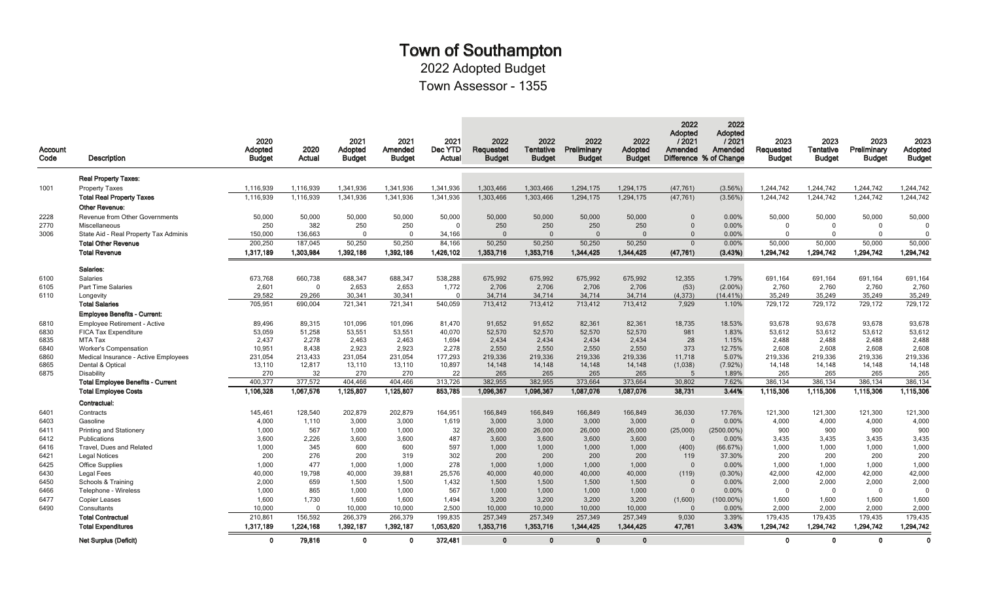# Town of Southampton

2022 Adopted Budget

Town Assessor - 1355

| Account<br>Code | <b>Description</b>                                       | 2020<br><b>Adopted</b><br><b>Budget</b> | 2020<br>Actual    | 2021<br>Adopted<br><b>Budget</b> | 2021<br>Amended<br><b>Budget</b> | 2021<br>Dec YTD<br>Actual | 2022<br>Requested<br><b>Budget</b> | 2022<br>Tentative<br><b>Budget</b> | 2022<br>Preliminary<br><b>Budget</b> | 2022<br>Adopted<br><b>Budget</b> | 2022<br>Adopted<br>12021<br>Amended<br>Difference % of Change | 2022<br>Adopted<br>12021<br>Amended | 2023<br>Requested<br><b>Budget</b> | 2023<br><b>Tentative</b><br><b>Budget</b> | 2023<br>Preliminary<br><b>Budget</b> | 2023<br>Adopted<br><b>Budget</b> |
|-----------------|----------------------------------------------------------|-----------------------------------------|-------------------|----------------------------------|----------------------------------|---------------------------|------------------------------------|------------------------------------|--------------------------------------|----------------------------------|---------------------------------------------------------------|-------------------------------------|------------------------------------|-------------------------------------------|--------------------------------------|----------------------------------|
|                 | <b>Real Property Taxes:</b>                              |                                         |                   |                                  |                                  |                           |                                    |                                    |                                      |                                  |                                                               |                                     |                                    |                                           |                                      |                                  |
| 1001            | <b>Property Taxes</b>                                    | 1,116,939                               | 1,116,939         | 1,341,936                        | 1,341,936                        | 1,341,936                 | 1,303,466                          | 1,303,466                          | 1,294,175                            | 1,294,175                        | (47, 761)                                                     | (3.56%)                             | 1,244,742                          | 1,244,742                                 | 1,244,742                            | 1,244,742                        |
|                 | <b>Total Real Property Taxes</b>                         | 1,116,939                               | 1,116,939         | 1,341,936                        | 1,341,936                        | 1,341,936                 | 1,303,466                          | 1,303,466                          | 1,294,175                            | 1,294,175                        | (47, 761)                                                     | (3.56%)                             | 1,244,742                          | 1,244,742                                 | 1,244,742                            | 1,244,742                        |
|                 | <b>Other Revenue:</b>                                    |                                         |                   |                                  |                                  |                           |                                    |                                    |                                      |                                  |                                                               |                                     |                                    |                                           |                                      |                                  |
| 2228            | Revenue from Other Governments                           | 50,000                                  | 50,000            | 50,000                           | 50,000                           | 50,000                    | 50,000                             | 50,000                             | 50,000                               | 50,000                           | $\Omega$                                                      | 0.00%                               | 50,000                             | 50,000                                    | 50,000                               | 50,000                           |
| 2770            | Miscellaneous                                            | 250                                     | 382               | 250                              | 250                              | $\Omega$                  | 250                                | 250                                | 250                                  | 250                              | $\Omega$                                                      | 0.00%                               | $\overline{0}$                     | $\mathbf 0$                               | $\mathbf 0$                          | $\Omega$                         |
| 3006            | State Aid - Real Property Tax Adminis                    | 150,000                                 | 136,663           | $\Omega$                         | $\mathbf 0$                      | 34,166                    | $\Omega$                           | $\Omega$                           | $\Omega$                             | $\Omega$                         | $\Omega$                                                      | 0.00%                               | $\Omega$                           | $\Omega$                                  | $\Omega$                             |                                  |
|                 | <b>Total Other Revenue</b>                               | 200,250                                 | 187,045           | 50,250                           | 50,250                           | 84,166                    | 50,250                             | 50,250                             | 50,250                               | 50,250                           | $\overline{0}$                                                | 0.00%                               | 50,000                             | 50,000                                    | 50,000                               | 50,000                           |
|                 | <b>Total Revenue</b>                                     | 1,317,189                               | 1,303,984         | 1,392,186                        | 1,392,186                        | 1,426,102                 | 1,353,716                          | 1,353,716                          | 1,344,425                            | 1,344,425                        | (47, 761)                                                     | (3.43%)                             | 1,294,742                          | 1,294,742                                 | 1,294,742                            | 1,294,742                        |
|                 | Salaries:                                                |                                         |                   |                                  |                                  |                           |                                    |                                    |                                      |                                  |                                                               |                                     |                                    |                                           |                                      |                                  |
| 6100            | <b>Salaries</b>                                          | 673,768                                 | 660,738           | 688,347                          | 688,347                          | 538,288                   | 675,992                            | 675,992                            | 675,992                              | 675,992                          | 12,355                                                        | 1.79%                               | 691,164                            | 691,164                                   | 691,164                              | 691,164                          |
| 6105            | <b>Part Time Salaries</b>                                | 2,601                                   | $\Omega$          | 2,653                            | 2,653                            | 1,772                     | 2,706                              | 2,706                              | 2,706                                | 2,706                            | (53)                                                          | $(2.00\%)$                          | 2,760                              | 2,760                                     | 2,760                                | 2,760                            |
| 6110            | Longevity                                                | 29,582                                  | 29,266            | 30,341                           | 30,341                           | $\overline{0}$            | 34,714                             | 34,714                             | 34,714                               | 34,714                           | (4, 373)                                                      | $(14.41\%)$                         | 35,249                             | 35,249                                    | 35,249                               | 35,249                           |
|                 | <b>Total Salaries</b>                                    | 705,951                                 | 690,004           | 721,341                          | 721,341                          | 540,059                   | 713,412                            | 713,412                            | 713,412                              | 713,412                          | 7,929                                                         | 1.10%                               | 729,172                            | 729,172                                   | 729,172                              | 729,172                          |
|                 | Employee Benefits - Current:                             |                                         |                   |                                  |                                  |                           |                                    |                                    |                                      |                                  |                                                               |                                     |                                    |                                           |                                      |                                  |
| 6810            | <b>Employee Retirement - Active</b>                      | 89,496                                  | 89.315            | 101.096                          | 101.096                          | 81,470                    | 91,652                             | 91.652                             | 82,361                               | 82,361                           | 18,735                                                        | 18.53%                              | 93.678                             | 93.678                                    | 93.678                               | 93,678                           |
| 6830            | FICA Tax Expenditure                                     | 53,059                                  | 51,258            | 53,551                           | 53,551                           | 40,070                    | 52,570                             | 52,570                             | 52,570                               | 52,570                           | 981                                                           | 1.83%                               | 53,612                             | 53,612                                    | 53,612                               | 53,612                           |
| 6835            | MTA Tax                                                  | 2,437                                   | 2,278             | 2,463                            | 2.463                            | 1,694                     | 2,434                              | 2.434                              | 2,434                                | 2,434                            | 28                                                            | 1.15%                               | 2,488                              | 2,488                                     | 2.488                                | 2,488                            |
| 6840            | <b>Worker's Compensation</b>                             | 10,951                                  | 8,438             | 2,923                            | 2,923                            | 2,278                     | 2,550                              | 2,550                              | 2,550<br>219,336                     | 2,550                            | 373<br>11,718                                                 | 12.75%<br>5.07%                     | 2,608                              | 2,608                                     | 2,608<br>219,336                     | 2,608                            |
| 6860<br>6865    | Medical Insurance - Active Employees<br>Dental & Optical | 231,054<br>13,110                       | 213,433<br>12,817 | 231,054<br>13,110                | 231,054<br>13,110                | 177,293<br>10,897         | 219,336<br>14,148                  | 219,336<br>14,148                  | 14,148                               | 219,336<br>14,148                | (1,038)                                                       | $(7.92\%)$                          | 219,336<br>14,148                  | 219,336<br>14,148                         | 14,148                               | 219,336<br>14,148                |
| 6875            | <b>Disability</b>                                        | 270                                     | 32                | 270                              | 270                              | 22                        | 265                                | 265                                | 265                                  | 265                              | $5\overline{5}$                                               | 1.89%                               | 265                                | 265                                       | 265                                  | 265                              |
|                 | <b>Total Employee Benefits - Current</b>                 | 400,377                                 | 377,572           | 404,466                          | 404,466                          | 313,726                   | 382,955                            | 382,955                            | 373,664                              | 373,664                          | 30,802                                                        | 7.62%                               | 386,134                            | 386,134                                   | 386,134                              | 386,134                          |
|                 | <b>Total Employee Costs</b>                              | 1.106.328                               | 1.067.576         | 1,125,807                        | 1,125,807                        | 853.785                   | 1.096.367                          | 1.096.367                          | 1.087.076                            | 1.087.076                        | 38.731                                                        | 3.44%                               | 1,115,306                          | 1.115.306                                 | 1.115,306                            | 1.115,306                        |
|                 | Contractual:                                             |                                         |                   |                                  |                                  |                           |                                    |                                    |                                      |                                  |                                                               |                                     |                                    |                                           |                                      |                                  |
| 6401            | Contracts                                                | 145,461                                 | 128,540           | 202,879                          | 202,879                          | 164,951                   | 166,849                            | 166,849                            | 166,849                              | 166,849                          | 36,030                                                        | 17.76%                              | 121,300                            | 121,300                                   | 121,300                              | 121,300                          |
| 6403            | Gasoline                                                 | 4,000                                   | 1,110             | 3,000                            | 3,000                            | 1,619                     | 3,000                              | 3,000                              | 3,000                                | 3,000                            | $\Omega$                                                      | 0.00%                               | 4,000                              | 4,000                                     | 4,000                                | 4,000                            |
| 6411            | Printing and Stationery                                  | 1,000                                   | 567               | 1,000                            | 1.000                            | 32                        | 26,000                             | 26,000                             | 26,000                               | 26,000                           | (25,000)                                                      | $(2500.00\%)$                       | 900                                | 900                                       | 900                                  | 900                              |
| 6412            | Publications                                             | 3,600                                   | 2,226             | 3,600                            | 3,600                            | 487                       | 3,600                              | 3,600                              | 3,600                                | 3,600                            | - 0                                                           | 0.00%                               | 3,435                              | 3,435                                     | 3,435                                | 3,435                            |
| 6416            | Travel, Dues and Related                                 | 1,000                                   | 345               | 600                              | 600                              | 597                       | 1,000                              | 1,000                              | 1,000                                | 1,000                            | (400)                                                         | (66.67%)                            | 1,000                              | 1,000                                     | 1,000                                | 1,000                            |
| 6421            | <b>Legal Notices</b>                                     | 200                                     | 276               | 200                              | 319                              | 302                       | 200                                | 200                                | 200                                  | 200                              | 119                                                           | 37.30%                              | 200                                | 200                                       | 200                                  | 200                              |
| 6425            | <b>Office Supplies</b>                                   | 1.000                                   | 477               | 1.000                            | 1.000                            | 278                       | 1.000                              | 1.000                              | 1.000                                | 1.000                            | $\overline{0}$                                                | 0.00%                               | 1.000                              | 1.000                                     | 1.000                                | 1,000                            |
| 6430<br>6450    | Legal Fees                                               | 40,000<br>2,000                         | 19,798<br>659     | 40,000<br>1.500                  | 39,881<br>1.500                  | 25,576<br>1,432           | 40,000<br>1.500                    | 40,000<br>1.500                    | 40,000<br>1.500                      | 40,000<br>1,500                  | (119)<br>$\overline{0}$                                       | $(0.30\%)$<br>0.00%                 | 42,000<br>2,000                    | 42,000<br>2,000                           | 42,000<br>2,000                      | 42,000<br>2,000                  |
| 6466            | Schools & Training<br>Telephone - Wireless               | 1.000                                   | 865               | 1.000                            | 1.000                            | 567                       | 1.000                              | 1.000                              | 1.000                                | 1.000                            | $\overline{0}$                                                | 0.00%                               | $\Omega$                           | $\mathbf 0$                               | $\overline{0}$                       | $\Omega$                         |
| 6477            | Copier Leases                                            | 1,600                                   | 1,730             | 1,600                            | 1,600                            | 1,494                     | 3,200                              | 3,200                              | 3,200                                | 3,200                            | (1,600)                                                       | $(100.00\%)$                        | 1,600                              | 1,600                                     | 1,600                                | 1,600                            |
| 6490            | Consultants                                              | 10.000                                  | $\Omega$          | 10,000                           | 10,000                           | 2,500                     | 10,000                             | 10,000                             | 10,000                               | 10,000                           | $\Omega$                                                      | 0.00%                               | 2.000                              | 2.000                                     | 2.000                                | 2,000                            |
|                 | <b>Total Contractual</b>                                 | 210,861                                 | 156,592           | 266,379                          | 266,379                          | 199,835                   | 257,349                            | 257,349                            | 257,349                              | 257,349                          | 9,030                                                         | 3.39%                               | 179,435                            | 179,435                                   | 179,435                              | 179,435                          |
|                 | <b>Total Expenditures</b>                                | 1,317,189                               | 1,224,168         | 1,392,187                        | 1,392,187                        | 1,053,620                 | 1,353,716                          | 1,353,716                          | 1,344,425                            | 1,344,425                        | 47,761                                                        | 3.43%                               | 1,294,742                          | 1,294,742                                 | 1,294,742                            | 1,294,742                        |
|                 | <b>Net Surplus (Deficit)</b>                             | $\Omega$                                | 79,816            | $\mathbf{0}$                     | $\mathbf{0}$                     | 372,481                   | $\Omega$                           | $\mathbf{0}$                       | $\Omega$                             | $\Omega$                         |                                                               |                                     | $\mathbf{0}$                       | $\mathbf{0}$                              | $\mathbf{0}$                         | $\mathbf 0$                      |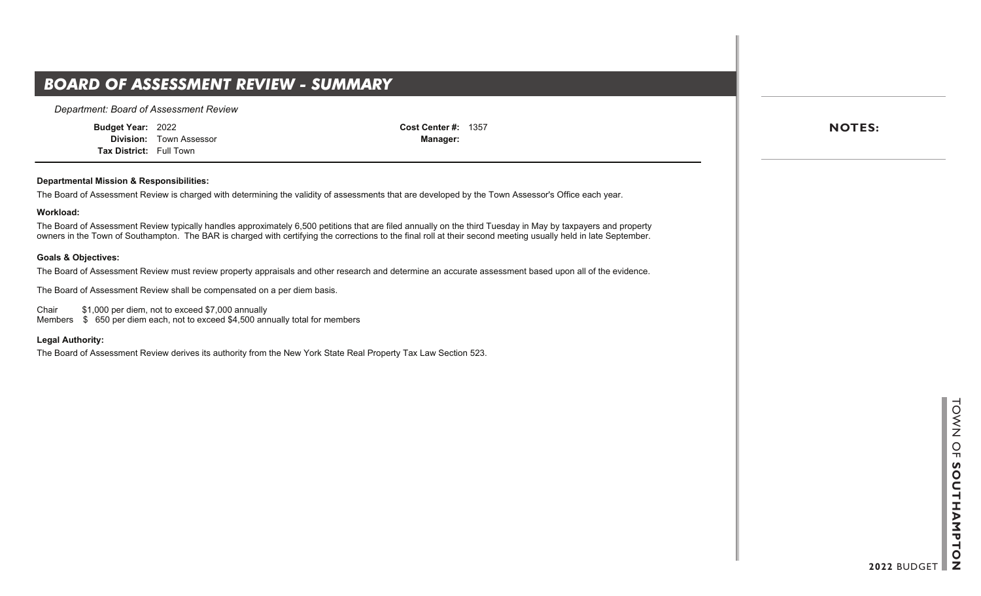## **BOARD OF ASSESSMENT REVIEW - SUMMARY**

*Department: Board of Assessment Review*

**Budget Year:** 2022

**Division:** Town Assessor **Tax District:** Full Town

**Cost Center #:** 1357 **Manager:**

#### **Departmental Mission & Responsibilities:**

The Board of Assessment Review is charged with determining the validity of assessments that are developed by the Town Assessor's Office each year.

#### **Workload:**

The Board of Assessment Review typically handles approximately 6,500 petitions that are filed annually on the third Tuesday in May by taxpayers and property owners in the Town of Southampton. The BAR is charged with certifying the corrections to the final roll at their second meeting usually held in late September.

#### **Goals & Objectives:**

The Board of Assessment Review must review property appraisals and other research and determine an accurate assessment based upon all of the evidence.

The Board of Assessment Review shall be compensated on a per diem basis.

Chair \$1,000 per diem, not to exceed \$7,000 annually Members  $$650$  per diem each, not to exceed \$4,500 annually total for members

#### **Legal Authority:**

The Board of Assessment Review derives its authority from the New York State Real Property Tax Law Section 523.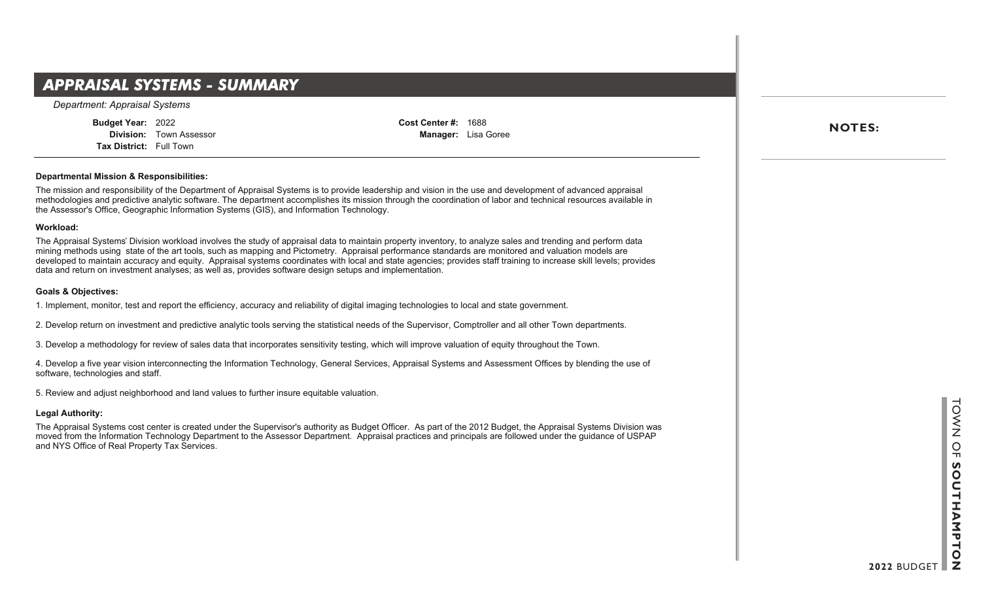### **Department Summary**  *APPRAISAL SYSTEMS - SUMMARY*

*Department: Appraisal Systems*

**Budget Year:** 2022 **Division:** Town Assessor **Tax District:** Full Town

**Cost Center #:** 1688 **Manager:** Lisa Goree

#### **Departmental Mission & Responsibilities:**

The mission and responsibility of the Department of Appraisal Systems is to provide leadership and vision in the use and development of advanced appraisal methodologies and predictive analytic software. The department accomplishes its mission through the coordination of labor and technical resources available in the Assessor's Office, Geographic Information Systems (GIS), and Information Technology.

#### **Workload:**

The Appraisal Systems' Division workload involves the study of appraisal data to maintain property inventory, to analyze sales and trending and perform data mining methods using state of the art tools, such as mapping and Pictometry. Appraisal performance standards are monitored and valuation models are developed to maintain accuracy and equity. Appraisal systems coordinates with local and state agencies; provides staff training to increase skill levels; provides data and return on investment analyses; as well as, provides software design setups and implementation.

#### **Goals & Objectives:**

1. Implement, monitor, test and report the efficiency, accuracy and reliability of digital imaging technologies to local and state government.

2. Develop return on investment and predictive analytic tools serving the statistical needs of the Supervisor, Comptroller and all other Town departments.

3. Develop a methodology for review of sales data that incorporates sensitivity testing, which will improve valuation of equity throughout the Town.

4. Develop a five year vision interconnecting the Information Technology, General Services, Appraisal Systems and Assessment Offices by blending the use of software, technologies and staff.

5. Review and adjust neighborhood and land values to further insure equitable valuation.

#### **Legal Authority:**

The Appraisal Systems cost center is created under the Supervisor's authority as Budget Officer. As part of the 2012 Budget, the Appraisal Systems Division was moved from the Information Technology Department to the Assessor Department. Appraisal practices and principals are followed under the guidance of USPAP and NYS Office of Real Property Tax Services.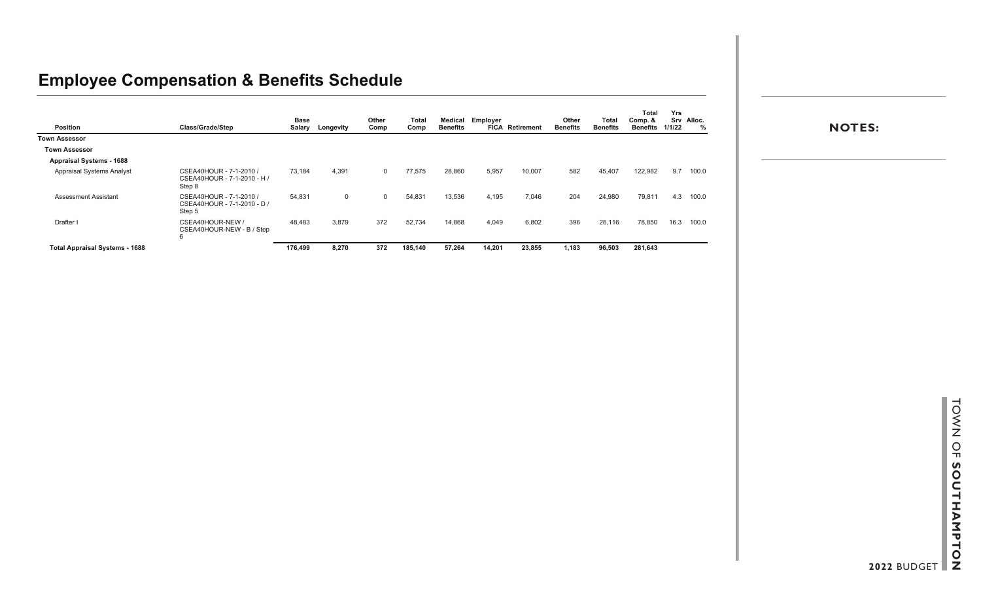### **Employee Compensation & Benefits Schedule**

| Position                              | Class/Grade/Step                                                 | <b>Base</b><br>Salary | Longevity | Other<br>Comp | <b>Total</b><br>Comp | Medical<br><b>Benefits</b> | Employer | <b>FICA</b> Retirement | Other<br><b>Benefits</b> | Total<br><b>Benefits</b> | <b>Total</b><br>Comp. &<br><b>Benefits</b> | Yrs<br>1/1/22 | Srv Alloc. |
|---------------------------------------|------------------------------------------------------------------|-----------------------|-----------|---------------|----------------------|----------------------------|----------|------------------------|--------------------------|--------------------------|--------------------------------------------|---------------|------------|
| <b>Town Assessor</b>                  |                                                                  |                       |           |               |                      |                            |          |                        |                          |                          |                                            |               |            |
| <b>Town Assessor</b>                  |                                                                  |                       |           |               |                      |                            |          |                        |                          |                          |                                            |               |            |
| <b>Appraisal Systems - 1688</b>       |                                                                  |                       |           |               |                      |                            |          |                        |                          |                          |                                            |               |            |
| Appraisal Systems Analyst             | CSEA40HOUR - 7-1-2010 /<br>CSEA40HOUR - 7-1-2010 - H /<br>Step 8 | 73,184                | 4,391     | $\Omega$      | 77,575               | 28,860                     | 5,957    | 10,007                 | 582                      | 45,407                   | 122,982                                    |               | 9.7 100.0  |
| <b>Assessment Assistant</b>           | CSEA40HOUR - 7-1-2010 /<br>CSEA40HOUR - 7-1-2010 - D /<br>Step 5 | 54,831                | 0         | $\Omega$      | 54,831               | 13,536                     | 4,195    | 7,046                  | 204                      | 24,980                   | 79,811                                     | 4.3           | 100.0      |
| Drafter I                             | CSEA40HOUR-NEW /<br>CSEA40HOUR-NEW - B / Step<br>6               | 48,483                | 3,879     | 372           | 52,734               | 14,868                     | 4,049    | 6,802                  | 396                      | 26,116                   | 78,850                                     | 16.3          | 100.0      |
| <b>Total Appraisal Systems - 1688</b> |                                                                  | 176,499               | 8,270     | 372           | 185,140              | 57,264                     | 14,201   | 23,855                 | 1,183                    | 96,503                   | 281,643                                    |               |            |